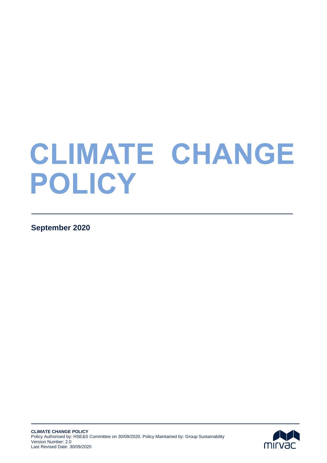# **CLIMATE CHANGE POLICY**

**September 2020** 

Subheading here

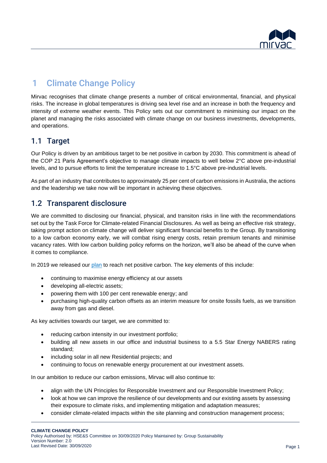

# 1 Climate Change Policy

Mirvac recognises that climate change presents a number of critical environmental, financial, and physical risks. The increase in global temperatures is driving sea level rise and an increase in both the frequency and intensity of extreme weather events. This Policy sets out our commitment to minimising our impact on the planet and managing the risks associated with climate change on our business investments, developments, and operations.

#### 1.1 Target

Our Policy is driven by an ambitious target to be net positive in carbon by 2030. This commitment is ahead of the COP 21 Paris Agreement's objective to manage climate impacts to well below 2°C above pre-industrial levels, and to pursue efforts to limit the temperature increase to 1.5°C above pre-industrial levels.

As part of an industry that contributes to approximately 25 per cent of carbon emissions in Australia, the actions and the leadership we take now will be important in achieving these objectives.

#### 1.2 Transparent disclosure

We are committed to disclosing our financial, physical, and transiton risks in line with the recommendations set out by the Task Force for Climate-related Financial Disclosures. As well as being an effective risk strategy, taking prompt action on climate change will deliver significant financial benefits to the Group. By transitioning to a low carbon economy early, we will combat rising energy costs, retain premium tenants and minimise vacancy rates. With low carbon building policy reforms on the horizon, we'll also be ahead of the curve when it comes to compliance.

In 2019 we released our [plan](http://mirvacsustainability.azurewebsites.net/wp-content/uploads/2019/09/Mirvac_Planet-Positive.pdf) to reach net positive carbon. The key elements of this include:

- continuing to maximise energy efficiency at our assets
- developing all-electric assets;
- powering them with 100 per cent renewable energy; and
- purchasing high-quality carbon offsets as an interim measure for onsite fossils fuels, as we transition away from gas and diesel.

As key activities towards our target, we are committed to:

- reducing carbon intensity in our investment portfolio;
- building all new assets in our office and industrial business to a 5.5 Star Energy NABERS rating standard;
- including solar in all new Residential projects; and
- continuing to focus on renewable energy procurement at our investment assets.

In our ambition to reduce our carbon emissions, Mirvac will also continue to:

- align with the UN Principles for Responsible Investment and our [Responsible Investment Policy;](https://mirvac-cdn-prd.azureedge.net/-/media/Project/Mirvac/Corporate/Main-Site/Corporate-Theme/images/About/Corporate-Governance/Responsible-Investment-Policy.pdf?la=en&hash=40C05B5C0C2F4346E41DDB46DF10E3E0218CF503)
- look at how we can improve the resilience of our developments and our existing assets by assessing their exposure to climate risks, and implementing mitigation and adaptation measures;
- consider climate-related impacts within the site planning and construction management process;